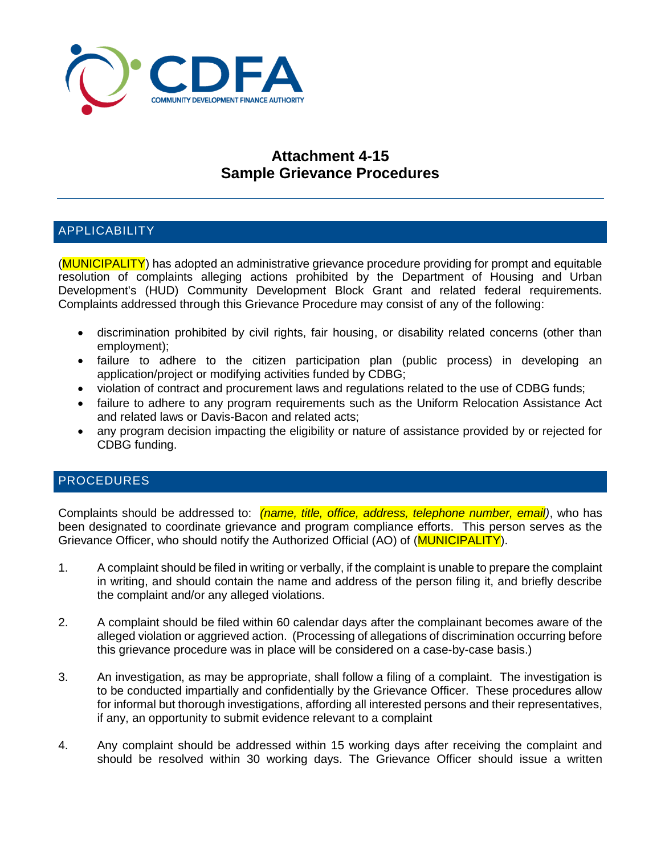

## **Attachment 4-15 Sample Grievance Procedures**

## APPLICABILITY

(MUNICIPALITY) has adopted an administrative grievance procedure providing for prompt and equitable resolution of complaints alleging actions prohibited by the Department of Housing and Urban Development's (HUD) Community Development Block Grant and related federal requirements. Complaints addressed through this Grievance Procedure may consist of any of the following:

- discrimination prohibited by civil rights, fair housing, or disability related concerns (other than employment);
- failure to adhere to the citizen participation plan (public process) in developing an application/project or modifying activities funded by CDBG;
- violation of contract and procurement laws and regulations related to the use of CDBG funds;
- failure to adhere to any program requirements such as the Uniform Relocation Assistance Act and related laws or Davis-Bacon and related acts;
- any program decision impacting the eligibility or nature of assistance provided by or rejected for CDBG funding.

## PROCEDURES

Complaints should be addressed to: *(name, title, office, address, telephone number, email)*, who has been designated to coordinate grievance and program compliance efforts. This person serves as the Grievance Officer, who should notify the Authorized Official (AO) of (MUNICIPALITY).

- 1. A complaint should be filed in writing or verbally, if the complaint is unable to prepare the complaint in writing, and should contain the name and address of the person filing it, and briefly describe the complaint and/or any alleged violations.
- 2. A complaint should be filed within 60 calendar days after the complainant becomes aware of the alleged violation or aggrieved action. (Processing of allegations of discrimination occurring before this grievance procedure was in place will be considered on a case-by-case basis.)
- 3. An investigation, as may be appropriate, shall follow a filing of a complaint. The investigation is to be conducted impartially and confidentially by the Grievance Officer. These procedures allow for informal but thorough investigations, affording all interested persons and their representatives, if any, an opportunity to submit evidence relevant to a complaint
- 4. Any complaint should be addressed within 15 working days after receiving the complaint and should be resolved within 30 working days. The Grievance Officer should issue a written